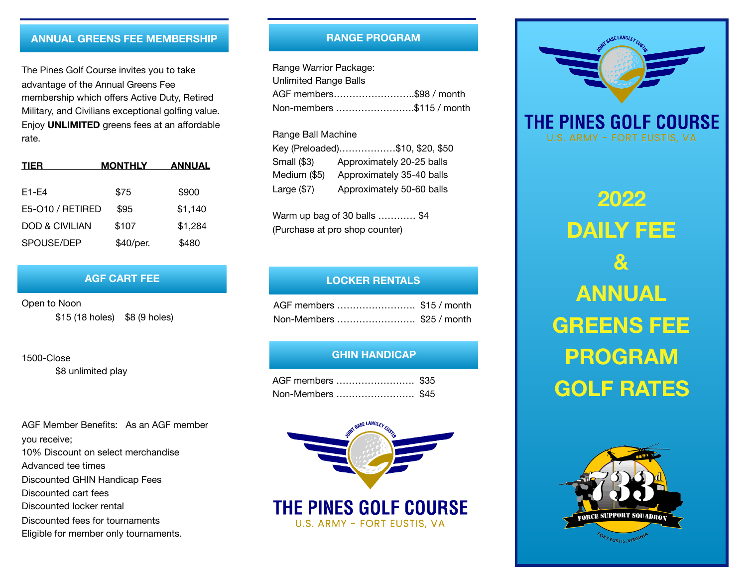## **ANNUAL GREENS FEE MEMBERSHIP**

The Pines Golf Course invites you to take advantage of the Annual Greens Fee membership which offers Active Duty, Retired Military, and Civilians exceptional golfing value. Enjoy **UNLIMITED** greens fees at an affordable rate.

| <b>TIER</b>               | <b>MONTHLY</b> | ANNUAL  |  |  |
|---------------------------|----------------|---------|--|--|
| $F1-F4$                   | \$75           | \$900   |  |  |
| E5-010 / RETIRED          | \$95           | \$1,140 |  |  |
| <b>DOD &amp; CIVILIAN</b> | \$107          | \$1,284 |  |  |
| SPOUSE/DEP                | \$40/per.      | \$480   |  |  |

### **AGF CART FEE**

Open to Noon \$15 (18 holes) \$8 (9 holes)

1500-Close

\$8 unlimited play

AGF Member Benefits: As an AGF member you receive; 10% Discount on select merchandise Advanced tee times Discounted GHIN Handicap Fees Discounted cart fees Discounted locker rental Discounted fees for tournaments Eligible for member only tournaments.

### **RANGE PROGRAM**

Range Warrior Package: Unlimited Range Balls AGF members……………………..\$98 / month Non-members …………………….\$115 / month

#### Range Ball Machine

|               | Key (Preloaded)\$10, \$20, \$50 |
|---------------|---------------------------------|
| Small (\$3)   | Approximately 20-25 balls       |
| Medium (\$5)  | Approximately 35-40 balls       |
| Large $(\$7)$ | Approximately 50-60 balls       |

Warm up bag of 30 balls ………… \$4 (Purchase at pro shop counter)

## **LOCKER RENTALS**

| AGF members \$15 / month |  |
|--------------------------|--|
| Non-Members \$25 / month |  |

#### **GHIN HANDICAP**

| AGF members  \$35 |  |
|-------------------|--|
| Non-Members \$45  |  |



# THE PINES GOLF COURSE U.S. ARMY - FORT EUSTIS, VA



**2022 DAILY FEE & ANNUAL GREENS FEE PROGRAM GOLF RATES**